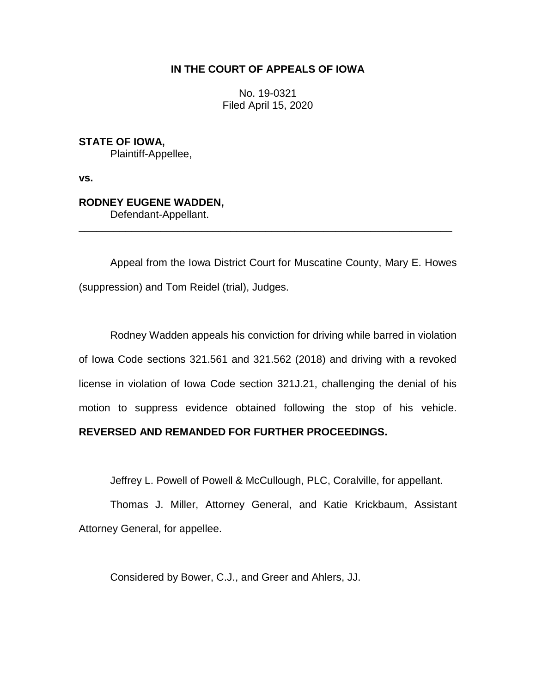### **IN THE COURT OF APPEALS OF IOWA**

No. 19-0321 Filed April 15, 2020

**STATE OF IOWA,** Plaintiff-Appellee,

**vs.**

# **RODNEY EUGENE WADDEN,**

Defendant-Appellant.

Appeal from the Iowa District Court for Muscatine County, Mary E. Howes (suppression) and Tom Reidel (trial), Judges.

\_\_\_\_\_\_\_\_\_\_\_\_\_\_\_\_\_\_\_\_\_\_\_\_\_\_\_\_\_\_\_\_\_\_\_\_\_\_\_\_\_\_\_\_\_\_\_\_\_\_\_\_\_\_\_\_\_\_\_\_\_\_\_\_

Rodney Wadden appeals his conviction for driving while barred in violation of Iowa Code sections 321.561 and 321.562 (2018) and driving with a revoked license in violation of Iowa Code section 321J.21, challenging the denial of his motion to suppress evidence obtained following the stop of his vehicle.

## **REVERSED AND REMANDED FOR FURTHER PROCEEDINGS.**

Jeffrey L. Powell of Powell & McCullough, PLC, Coralville, for appellant.

Thomas J. Miller, Attorney General, and Katie Krickbaum, Assistant Attorney General, for appellee.

Considered by Bower, C.J., and Greer and Ahlers, JJ.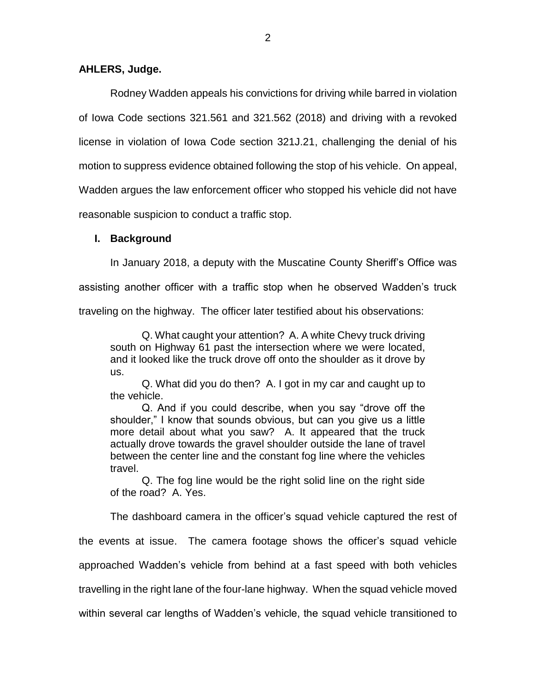#### **AHLERS, Judge.**

Rodney Wadden appeals his convictions for driving while barred in violation of Iowa Code sections 321.561 and 321.562 (2018) and driving with a revoked license in violation of Iowa Code section 321J.21, challenging the denial of his motion to suppress evidence obtained following the stop of his vehicle. On appeal, Wadden argues the law enforcement officer who stopped his vehicle did not have reasonable suspicion to conduct a traffic stop.

#### **I. Background**

In January 2018, a deputy with the Muscatine County Sheriff's Office was

assisting another officer with a traffic stop when he observed Wadden's truck

traveling on the highway. The officer later testified about his observations:

Q. What caught your attention? A. A white Chevy truck driving south on Highway 61 past the intersection where we were located, and it looked like the truck drove off onto the shoulder as it drove by us.

Q. What did you do then? A. I got in my car and caught up to the vehicle.

Q. And if you could describe, when you say "drove off the shoulder," I know that sounds obvious, but can you give us a little more detail about what you saw? A. It appeared that the truck actually drove towards the gravel shoulder outside the lane of travel between the center line and the constant fog line where the vehicles travel.

Q. The fog line would be the right solid line on the right side of the road? A. Yes.

The dashboard camera in the officer's squad vehicle captured the rest of the events at issue. The camera footage shows the officer's squad vehicle approached Wadden's vehicle from behind at a fast speed with both vehicles travelling in the right lane of the four-lane highway. When the squad vehicle moved within several car lengths of Wadden's vehicle, the squad vehicle transitioned to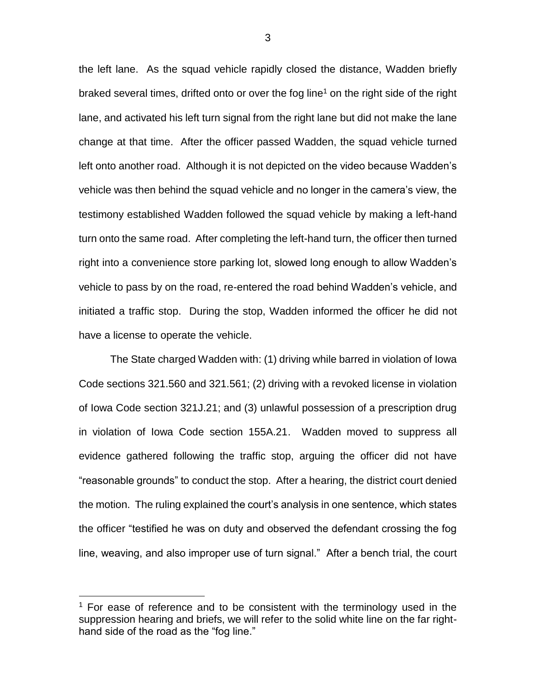the left lane. As the squad vehicle rapidly closed the distance, Wadden briefly braked several times, drifted onto or over the fog line<sup>1</sup> on the right side of the right lane, and activated his left turn signal from the right lane but did not make the lane change at that time. After the officer passed Wadden, the squad vehicle turned left onto another road. Although it is not depicted on the video because Wadden's vehicle was then behind the squad vehicle and no longer in the camera's view, the testimony established Wadden followed the squad vehicle by making a left-hand turn onto the same road. After completing the left-hand turn, the officer then turned right into a convenience store parking lot, slowed long enough to allow Wadden's vehicle to pass by on the road, re-entered the road behind Wadden's vehicle, and initiated a traffic stop. During the stop, Wadden informed the officer he did not have a license to operate the vehicle.

The State charged Wadden with: (1) driving while barred in violation of Iowa Code sections 321.560 and 321.561; (2) driving with a revoked license in violation of Iowa Code section 321J.21; and (3) unlawful possession of a prescription drug in violation of Iowa Code section 155A.21. Wadden moved to suppress all evidence gathered following the traffic stop, arguing the officer did not have "reasonable grounds" to conduct the stop. After a hearing, the district court denied the motion. The ruling explained the court's analysis in one sentence, which states the officer "testified he was on duty and observed the defendant crossing the fog line, weaving, and also improper use of turn signal." After a bench trial, the court

 $\overline{a}$ 

 $1$  For ease of reference and to be consistent with the terminology used in the suppression hearing and briefs, we will refer to the solid white line on the far righthand side of the road as the "fog line."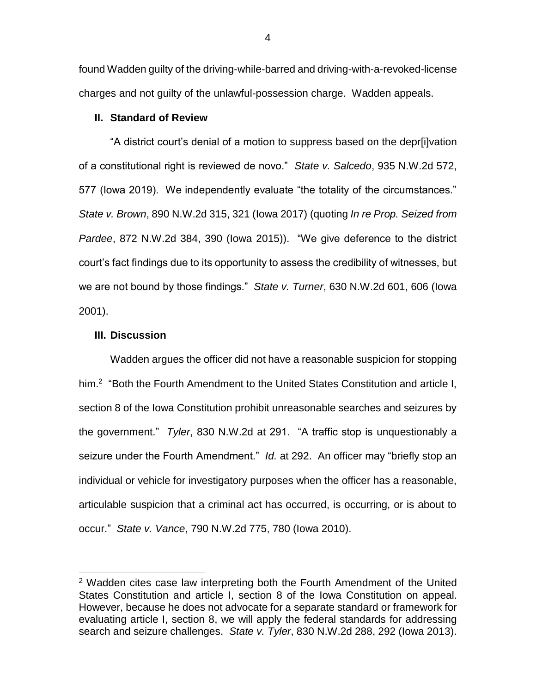found Wadden guilty of the driving-while-barred and driving-with-a-revoked-license charges and not guilty of the unlawful-possession charge. Wadden appeals.

#### **II. Standard of Review**

"A district court's denial of a motion to suppress based on the depr[i]vation of a constitutional right is reviewed de novo." *State v. Salcedo*, 935 N.W.2d 572, 577 (Iowa 2019). We independently evaluate "the totality of the circumstances." *State v. Brown*, 890 N.W.2d 315, 321 (Iowa 2017) (quoting *In re Prop. Seized from Pardee*, 872 N.W.2d 384, 390 (Iowa 2015)). "We give deference to the district court's fact findings due to its opportunity to assess the credibility of witnesses, but we are not bound by those findings." *State v. Turner*, 630 N.W.2d 601, 606 (Iowa 2001).

#### **III. Discussion**

 $\overline{a}$ 

Wadden argues the officer did not have a reasonable suspicion for stopping him.<sup>2</sup> "Both the Fourth Amendment to the United States Constitution and article I, section 8 of the Iowa Constitution prohibit unreasonable searches and seizures by the government." *Tyler*, 830 N.W.2d at 291. "A traffic stop is unquestionably a seizure under the Fourth Amendment." *Id.* at 292. An officer may "briefly stop an individual or vehicle for investigatory purposes when the officer has a reasonable, articulable suspicion that a criminal act has occurred, is occurring, or is about to occur." *State v. Vance*, 790 N.W.2d 775, 780 (Iowa 2010).

<sup>2</sup> Wadden cites case law interpreting both the Fourth Amendment of the United States Constitution and article I, section 8 of the Iowa Constitution on appeal. However, because he does not advocate for a separate standard or framework for evaluating article I, section 8, we will apply the federal standards for addressing search and seizure challenges. *State v. Tyler*, 830 N.W.2d 288, 292 (Iowa 2013).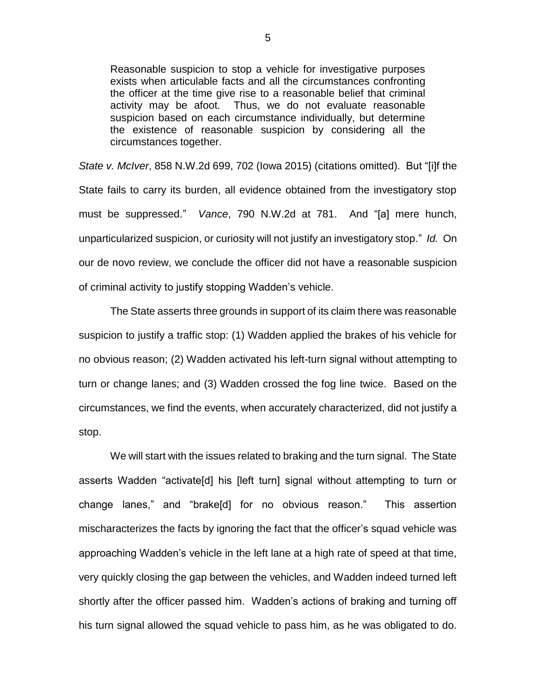Reasonable suspicion to stop a vehicle for investigative purposes exists when articulable facts and all the circumstances confronting the officer at the time give rise to a reasonable belief that criminal activity may be afoot. Thus, we do not evaluate reasonable suspicion based on each circumstance individually, but determine the existence of reasonable suspicion by considering all the circumstances together.

*State v. McIver*, 858 N.W.2d 699, 702 (Iowa 2015) (citations omitted). But "[i]f the State fails to carry its burden, all evidence obtained from the investigatory stop must be suppressed." *Vance*, 790 N.W.2d at 781. And "[a] mere hunch, unparticularized suspicion, or curiosity will not justify an investigatory stop." *Id.* On our de novo review, we conclude the officer did not have a reasonable suspicion of criminal activity to justify stopping Wadden's vehicle.

The State asserts three grounds in support of its claim there was reasonable suspicion to justify a traffic stop: (1) Wadden applied the brakes of his vehicle for no obvious reason; (2) Wadden activated his left-turn signal without attempting to turn or change lanes; and (3) Wadden crossed the fog line twice. Based on the circumstances, we find the events, when accurately characterized, did not justify a stop.

We will start with the issues related to braking and the turn signal. The State asserts Wadden "activate[d] his [left turn] signal without attempting to turn or change lanes," and "brake[d] for no obvious reason." This assertion mischaracterizes the facts by ignoring the fact that the officer's squad vehicle was approaching Wadden's vehicle in the left lane at a high rate of speed at that time, very quickly closing the gap between the vehicles, and Wadden indeed turned left shortly after the officer passed him. Wadden's actions of braking and turning off his turn signal allowed the squad vehicle to pass him, as he was obligated to do.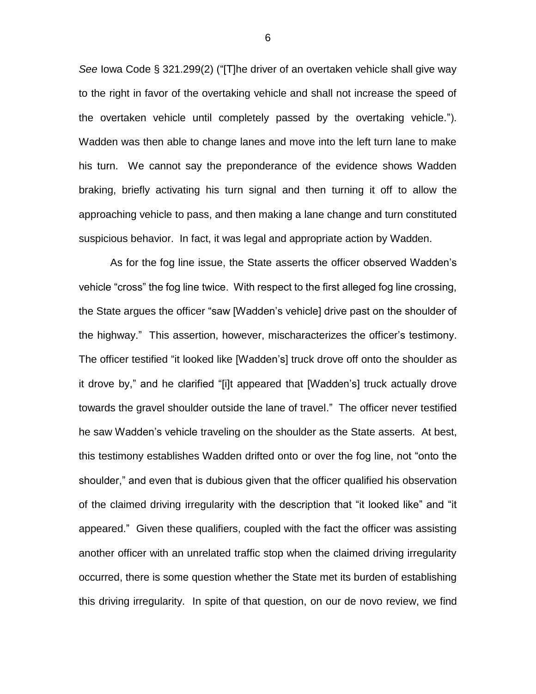*See* Iowa Code § 321.299(2) ("[T]he driver of an overtaken vehicle shall give way to the right in favor of the overtaking vehicle and shall not increase the speed of the overtaken vehicle until completely passed by the overtaking vehicle."). Wadden was then able to change lanes and move into the left turn lane to make his turn. We cannot say the preponderance of the evidence shows Wadden braking, briefly activating his turn signal and then turning it off to allow the approaching vehicle to pass, and then making a lane change and turn constituted suspicious behavior. In fact, it was legal and appropriate action by Wadden.

As for the fog line issue, the State asserts the officer observed Wadden's vehicle "cross" the fog line twice. With respect to the first alleged fog line crossing, the State argues the officer "saw [Wadden's vehicle] drive past on the shoulder of the highway." This assertion, however, mischaracterizes the officer's testimony. The officer testified "it looked like [Wadden's] truck drove off onto the shoulder as it drove by," and he clarified "[i]t appeared that [Wadden's] truck actually drove towards the gravel shoulder outside the lane of travel." The officer never testified he saw Wadden's vehicle traveling on the shoulder as the State asserts. At best, this testimony establishes Wadden drifted onto or over the fog line, not "onto the shoulder," and even that is dubious given that the officer qualified his observation of the claimed driving irregularity with the description that "it looked like" and "it appeared." Given these qualifiers, coupled with the fact the officer was assisting another officer with an unrelated traffic stop when the claimed driving irregularity occurred, there is some question whether the State met its burden of establishing this driving irregularity. In spite of that question, on our de novo review, we find

6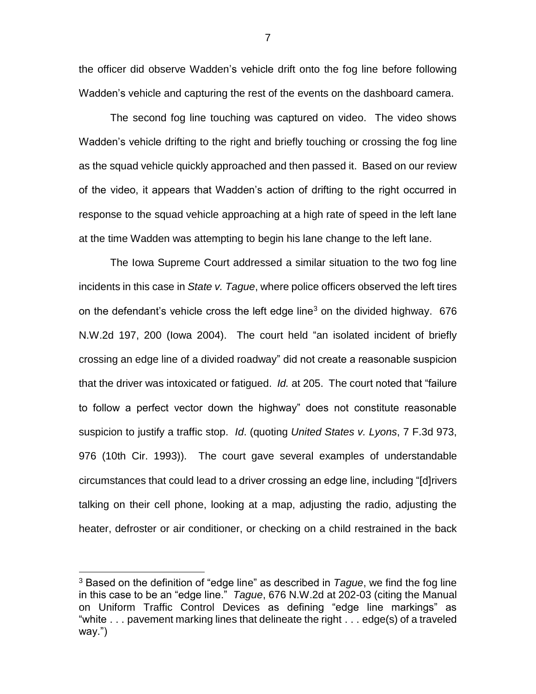the officer did observe Wadden's vehicle drift onto the fog line before following Wadden's vehicle and capturing the rest of the events on the dashboard camera.

The second fog line touching was captured on video. The video shows Wadden's vehicle drifting to the right and briefly touching or crossing the fog line as the squad vehicle quickly approached and then passed it. Based on our review of the video, it appears that Wadden's action of drifting to the right occurred in response to the squad vehicle approaching at a high rate of speed in the left lane at the time Wadden was attempting to begin his lane change to the left lane.

The Iowa Supreme Court addressed a similar situation to the two fog line incidents in this case in *State v. Tague*, where police officers observed the left tires on the defendant's vehicle cross the left edge line<sup>3</sup> on the divided highway. 676 N.W.2d 197, 200 (Iowa 2004). The court held "an isolated incident of briefly crossing an edge line of a divided roadway" did not create a reasonable suspicion that the driver was intoxicated or fatigued. *Id.* at 205. The court noted that "failure to follow a perfect vector down the highway" does not constitute reasonable suspicion to justify a traffic stop. *Id*. (quoting *United States v. Lyons*, 7 F.3d 973, 976 (10th Cir. 1993)). The court gave several examples of understandable circumstances that could lead to a driver crossing an edge line, including "[d]rivers talking on their cell phone, looking at a map, adjusting the radio, adjusting the heater, defroster or air conditioner, or checking on a child restrained in the back

 $\overline{a}$ 

7

<sup>3</sup> Based on the definition of "edge line" as described in *Tague*, we find the fog line in this case to be an "edge line." *Tague*, 676 N.W.2d at 202-03 (citing the Manual on Uniform Traffic Control Devices as defining "edge line markings" as "white . . . pavement marking lines that delineate the right . . . edge(s) of a traveled way.")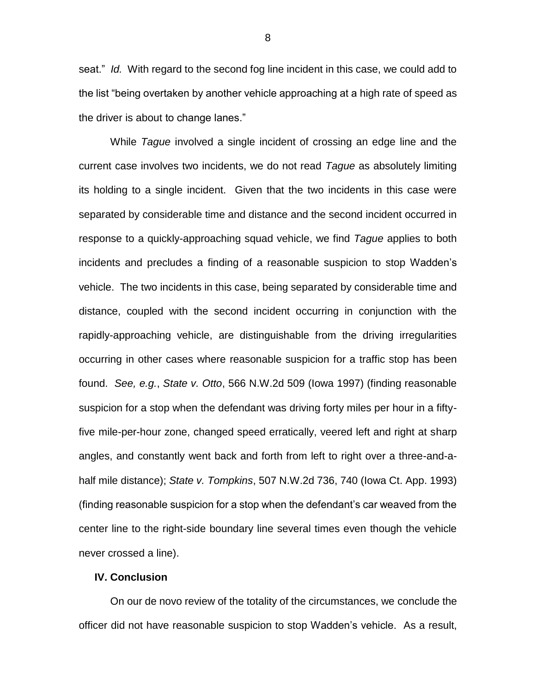seat." *Id.* With regard to the second fog line incident in this case, we could add to the list "being overtaken by another vehicle approaching at a high rate of speed as the driver is about to change lanes."

While *Tague* involved a single incident of crossing an edge line and the current case involves two incidents, we do not read *Tague* as absolutely limiting its holding to a single incident. Given that the two incidents in this case were separated by considerable time and distance and the second incident occurred in response to a quickly-approaching squad vehicle, we find *Tague* applies to both incidents and precludes a finding of a reasonable suspicion to stop Wadden's vehicle. The two incidents in this case, being separated by considerable time and distance, coupled with the second incident occurring in conjunction with the rapidly-approaching vehicle, are distinguishable from the driving irregularities occurring in other cases where reasonable suspicion for a traffic stop has been found. *See, e.g.*, *State v. Otto*, 566 N.W.2d 509 (Iowa 1997) (finding reasonable suspicion for a stop when the defendant was driving forty miles per hour in a fiftyfive mile-per-hour zone, changed speed erratically, veered left and right at sharp angles, and constantly went back and forth from left to right over a three-and-ahalf mile distance); *State v. Tompkins*, 507 N.W.2d 736, 740 (Iowa Ct. App. 1993) (finding reasonable suspicion for a stop when the defendant's car weaved from the center line to the right-side boundary line several times even though the vehicle never crossed a line).

#### **IV. Conclusion**

On our de novo review of the totality of the circumstances, we conclude the officer did not have reasonable suspicion to stop Wadden's vehicle. As a result,

8